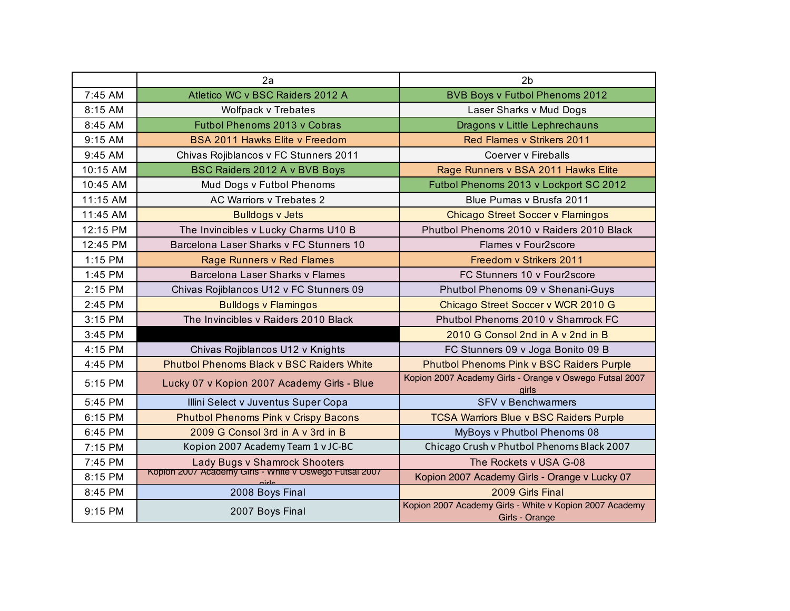|          | 2a                                                                                      | 2 <sub>b</sub>                                                            |
|----------|-----------------------------------------------------------------------------------------|---------------------------------------------------------------------------|
| 7:45 AM  | Atletico WC v BSC Raiders 2012 A                                                        | <b>BVB Boys v Futbol Phenoms 2012</b>                                     |
| 8:15 AM  | Wolfpack v Trebates                                                                     | Laser Sharks v Mud Dogs                                                   |
| 8:45 AM  | Futbol Phenoms 2013 v Cobras                                                            | Dragons v Little Lephrechauns                                             |
| 9:15 AM  | <b>BSA 2011 Hawks Elite v Freedom</b>                                                   | Red Flames v Strikers 2011                                                |
| 9:45 AM  | Chivas Rojiblancos v FC Stunners 2011                                                   | Coerver v Fireballs                                                       |
| 10:15 AM | BSC Raiders 2012 A v BVB Boys                                                           | Rage Runners v BSA 2011 Hawks Elite                                       |
| 10:45 AM | Mud Dogs v Futbol Phenoms                                                               | Futbol Phenoms 2013 v Lockport SC 2012                                    |
| 11:15 AM | AC Warriors v Trebates 2                                                                | Blue Pumas v Brusfa 2011                                                  |
| 11:45 AM | <b>Bulldogs v Jets</b>                                                                  | <b>Chicago Street Soccer v Flamingos</b>                                  |
| 12:15 PM | The Invincibles v Lucky Charms U10 B                                                    | Phutbol Phenoms 2010 y Raiders 2010 Black                                 |
| 12:45 PM | Barcelona Laser Sharks v FC Stunners 10                                                 | Flames v Four2score                                                       |
| 1:15 PM  | Rage Runners v Red Flames                                                               | Freedom v Strikers 2011                                                   |
| 1:45 PM  | Barcelona Laser Sharks v Flames                                                         | FC Stunners 10 v Four2score                                               |
| 2:15 PM  | Chivas Rojiblancos U12 v FC Stunners 09                                                 | Phutbol Phenoms 09 v Shenani-Guys                                         |
| 2:45 PM  | <b>Bulldogs v Flamingos</b>                                                             | Chicago Street Soccer v WCR 2010 G                                        |
| 3:15 PM  | The Invincibles v Raiders 2010 Black                                                    | Phutbol Phenoms 2010 v Shamrock FC                                        |
| 3:45 PM  |                                                                                         | 2010 G Consol 2nd in A v 2nd in B                                         |
| 4:15 PM  | Chivas Rojiblancos U12 v Knights                                                        | FC Stunners 09 v Joga Bonito 09 B                                         |
| 4:45 PM  | Phutbol Phenoms Black v BSC Raiders White                                               | Phutbol Phenoms Pink v BSC Raiders Purple                                 |
| 5:15 PM  | Lucky 07 v Kopion 2007 Academy Girls - Blue                                             | Kopion 2007 Academy Girls - Orange v Oswego Futsal 2007<br><b>airls</b>   |
| 5:45 PM  | Illini Select v Juventus Super Copa                                                     | <b>SFV v Benchwarmers</b>                                                 |
| 6:15 PM  | <b>Phutbol Phenoms Pink v Crispy Bacons</b>                                             | <b>TCSA Warriors Blue v BSC Raiders Purple</b>                            |
| 6:45 PM  | 2009 G Consol 3rd in A v 3rd in B                                                       | MyBoys v Phutbol Phenoms 08                                               |
| 7:15 PM  | Kopion 2007 Academy Team 1 v JC-BC                                                      | Chicago Crush v Phutbol Phenoms Black 2007                                |
| 7:45 PM  | Lady Bugs v Shamrock Shooters<br>Kopion 2007 Academy Girls - White v Oswego Futsal 2007 | The Rockets v USA G-08                                                    |
| 8:15 PM  | <b>airla</b>                                                                            | Kopion 2007 Academy Girls - Orange v Lucky 07                             |
| 8:45 PM  | 2008 Boys Final                                                                         | 2009 Girls Final                                                          |
| 9:15 PM  | 2007 Boys Final                                                                         | Kopion 2007 Academy Girls - White v Kopion 2007 Academy<br>Girls - Orange |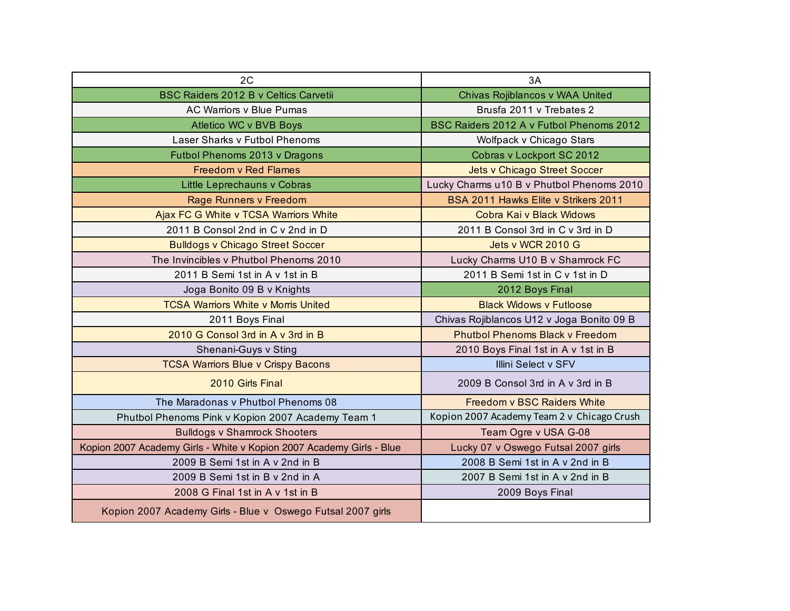| 2C                                                                   | 3A                                         |
|----------------------------------------------------------------------|--------------------------------------------|
| <b>BSC Raiders 2012 B v Celtics Carvetii</b>                         | Chivas Rojiblancos v WAA United            |
| <b>AC Warriors v Blue Pumas</b>                                      | Brusfa 2011 v Trebates 2                   |
| Atletico WC v BVB Boys                                               | BSC Raiders 2012 A v Futbol Phenoms 2012   |
| Laser Sharks v Futbol Phenoms                                        | Wolfpack v Chicago Stars                   |
| Futbol Phenoms 2013 v Dragons                                        | Cobras v Lockport SC 2012                  |
| <b>Freedom v Red Flames</b>                                          | <b>Jets v Chicago Street Soccer</b>        |
| Little Leprechauns v Cobras                                          | Lucky Charms u10 B v Phutbol Phenoms 2010  |
| Rage Runners v Freedom                                               | BSA 2011 Hawks Elite v Strikers 2011       |
| Ajax FC G White v TCSA Warriors White                                | Cobra Kai v Black Widows                   |
| 2011 B Consol 2nd in C v 2nd in D                                    | 2011 B Consol 3rd in C v 3rd in D          |
| <b>Bulldogs v Chicago Street Soccer</b>                              | Jets v WCR 2010 G                          |
| The Invincibles v Phutbol Phenoms 2010                               | Lucky Charms U10 B v Shamrock FC           |
| 2011 B Semi 1st in A v 1st in B                                      | 2011 B Semi 1st in C v 1st in D            |
| Joga Bonito 09 B v Knights                                           | 2012 Boys Final                            |
| <b>TCSA Warriors White v Morris United</b>                           | <b>Black Widows v Futloose</b>             |
| 2011 Boys Final                                                      | Chivas Rojiblancos U12 v Joga Bonito 09 B  |
| 2010 G Consol 3rd in A v 3rd in B                                    | <b>Phutbol Phenoms Black v Freedom</b>     |
| Shenani-Guys v Sting                                                 | 2010 Boys Final 1st in A v 1st in B        |
| <b>TCSA Warriors Blue v Crispy Bacons</b>                            | <b>Illini Select v SFV</b>                 |
| 2010 Girls Final                                                     | 2009 B Consol 3rd in A v 3rd in B          |
| The Maradonas y Phutbol Phenoms 08                                   | <b>Freedom v BSC Raiders White</b>         |
| Phutbol Phenoms Pink v Kopion 2007 Academy Team 1                    | Kopion 2007 Academy Team 2 v Chicago Crush |
| <b>Bulldogs v Shamrock Shooters</b>                                  | Team Ogre v USA G-08                       |
| Kopion 2007 Academy Girls - White v Kopion 2007 Academy Girls - Blue | Lucky 07 v Oswego Futsal 2007 girls        |
| 2009 B Semi 1st in A v 2nd in B                                      | 2008 B Semi 1st in A v 2nd in B            |
| 2009 B Semi 1st in B v 2nd in A                                      | 2007 B Semi 1st in A v 2nd in B            |
| 2008 G Final 1st in A v 1st in B                                     | 2009 Boys Final                            |
| Kopion 2007 Academy Girls - Blue v Oswego Futsal 2007 girls          |                                            |